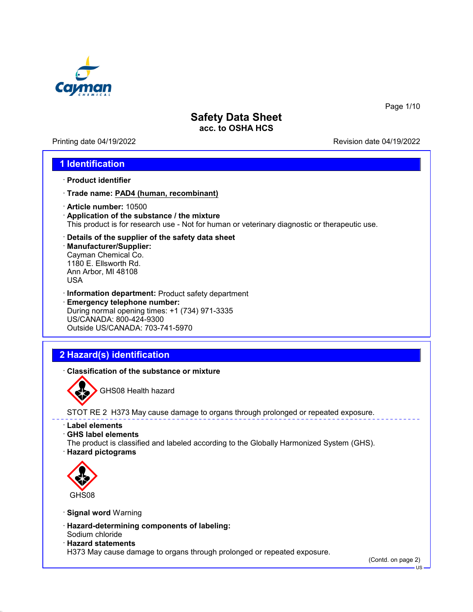

Printing date 04/19/2022 Revision date 04/19/2022

Page 1/10

### **1 Identification**

- · **Product identifier**
- · **Trade name: PAD4 (human, recombinant)**
- · **Article number:** 10500
- · **Application of the substance / the mixture** This product is for research use - Not for human or veterinary diagnostic or therapeutic use.
- · **Details of the supplier of the safety data sheet**
- · **Manufacturer/Supplier:** Cayman Chemical Co. 1180 E. Ellsworth Rd. Ann Arbor, MI 48108 USA
- · **Information department:** Product safety department · **Emergency telephone number:** During normal opening times: +1 (734) 971-3335 US/CANADA: 800-424-9300 Outside US/CANADA: 703-741-5970

# **2 Hazard(s) identification**

· **Classification of the substance or mixture**



GHS08 Health hazard

STOT RE 2 H373 May cause damage to organs through prolonged or repeated exposure.

- · **Label elements**
- · **GHS label elements**
- The product is classified and labeled according to the Globally Harmonized System (GHS).
- · **Hazard pictograms**



- · **Signal word** Warning
- · **Hazard-determining components of labeling:** Sodium chloride
- · **Hazard statements**

H373 May cause damage to organs through prolonged or repeated exposure.

(Contd. on page 2)

US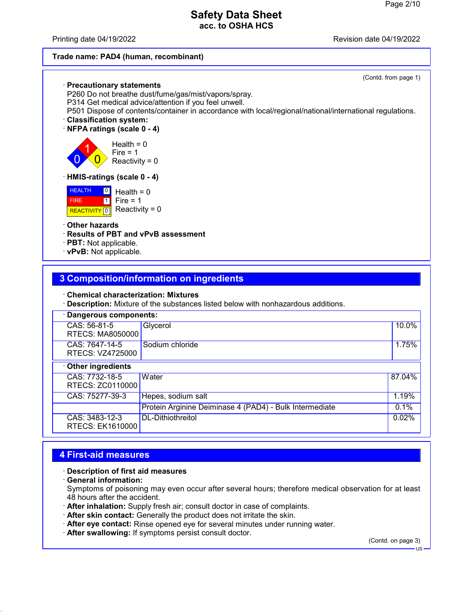#### Printing date 04/19/2022 Revision date 04/19/2022

#### **Trade name: PAD4 (human, recombinant)**

#### (Contd. from page 1) · **Precautionary statements** P260 Do not breathe dust/fume/gas/mist/vapors/spray. P314 Get medical advice/attention if you feel unwell. P501 Dispose of contents/container in accordance with local/regional/national/international regulations. · **Classification system:** · **NFPA ratings (scale 0 - 4)**  $\overline{0}$ 1  $\overline{0}$ Health  $= 0$  $Fire = 1$ Reactivity =  $0$ · **HMIS-ratings (scale 0 - 4) HEALTH**  FIRE <mark>| REACTIVITY</mark> | 0  $\frac{0}{5}$  Health = 0  $\overline{1}$ Fire  $= 1$ Reactivity =  $0$ · **Other hazards** · **Results of PBT and vPvB assessment** · **PBT:** Not applicable.

· **vPvB:** Not applicable.

### **3 Composition/information on ingredients**

#### · **Chemical characterization: Mixtures**

· **Description:** Mixture of the substances listed below with nonhazardous additions.

| · Dangerous components:                   |                                                         |        |  |
|-------------------------------------------|---------------------------------------------------------|--------|--|
| CAS: 56-81-5<br><b>RTECS: MA8050000</b>   | Glycerol                                                | 10.0%  |  |
| CAS: 7647-14-5<br>RTECS: VZ4725000        | Sodium chloride                                         | 1.75%  |  |
| Other ingredients                         |                                                         |        |  |
| CAS: 7732-18-5<br>RTECS: ZC0110000        | Water                                                   | 87.04% |  |
| CAS: 75277-39-3                           | Hepes, sodium salt                                      | 1.19%  |  |
|                                           | Protein Arginine Deiminase 4 (PAD4) - Bulk Intermediate | 0.1%   |  |
| CAS: 3483-12-3<br><b>RTECS: EK1610000</b> | DL-Dithiothreitol                                       | 0.02%  |  |

### **4 First-aid measures**

#### · **Description of first aid measures**

· **General information:**

Symptoms of poisoning may even occur after several hours; therefore medical observation for at least 48 hours after the accident.

- · **After inhalation:** Supply fresh air; consult doctor in case of complaints.
- · **After skin contact:** Generally the product does not irritate the skin.
- · **After eye contact:** Rinse opened eye for several minutes under running water.
- · **After swallowing:** If symptoms persist consult doctor.

(Contd. on page 3)

US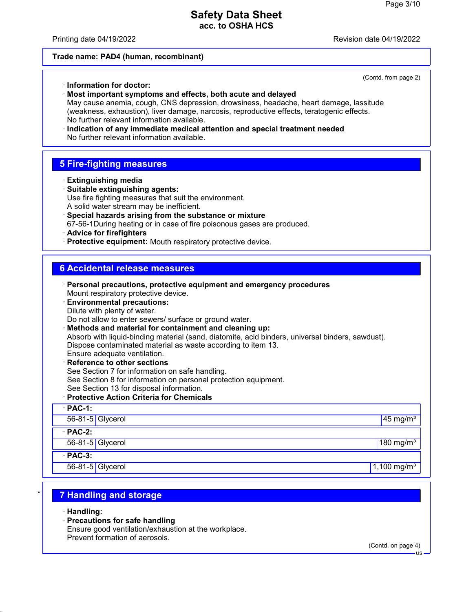#### Printing date 04/19/2022 Revision date 04/19/2022

(Contd. from page 2)

#### **Trade name: PAD4 (human, recombinant)**

· **Information for doctor:**

· **Most important symptoms and effects, both acute and delayed** May cause anemia, cough, CNS depression, drowsiness, headache, heart damage, lassitude (weakness, exhaustion), liver damage, narcosis, reproductive effects, teratogenic effects. No further relevant information available. · **Indication of any immediate medical attention and special treatment needed** No further relevant information available.

### **5 Fire-fighting measures**

- · **Extinguishing media**
- · **Suitable extinguishing agents:** Use fire fighting measures that suit the environment. A solid water stream may be inefficient.
- · **Special hazards arising from the substance or mixture** 67-56-1During heating or in case of fire poisonous gases are produced.
- · **Advice for firefighters**
- · **Protective equipment:** Mouth respiratory protective device.

### **6 Accidental release measures**

· **Personal precautions, protective equipment and emergency procedures** Mount respiratory protective device. · **Environmental precautions:** Dilute with plenty of water. Do not allow to enter sewers/ surface or ground water. · **Methods and material for containment and cleaning up:** Absorb with liquid-binding material (sand, diatomite, acid binders, universal binders, sawdust). Dispose contaminated material as waste according to item 13. Ensure adequate ventilation. · **Reference to other sections** See Section 7 for information on safe handling. See Section 8 for information on personal protection equipment. See Section 13 for disposal information. · **Protective Action Criteria for Chemicals** · **PAC-1:** 56-81-5 Glycerol 45 mg/m $^{3}$ · **PAC-2:** 56-81-5 Glycerol 180 mg/m $\frac{3}{2}$  180 mg/m $\frac{3}{2}$  180 mg/m $\frac{3}{2}$ · **PAC-3:** 56-81-5 Glycerol 1,100 mg/m $\frac{1}{3}$ 

# \* **7 Handling and storage**

- · **Handling:**
- · **Precautions for safe handling**

Ensure good ventilation/exhaustion at the workplace. Prevent formation of aerosols.

(Contd. on page 4)

US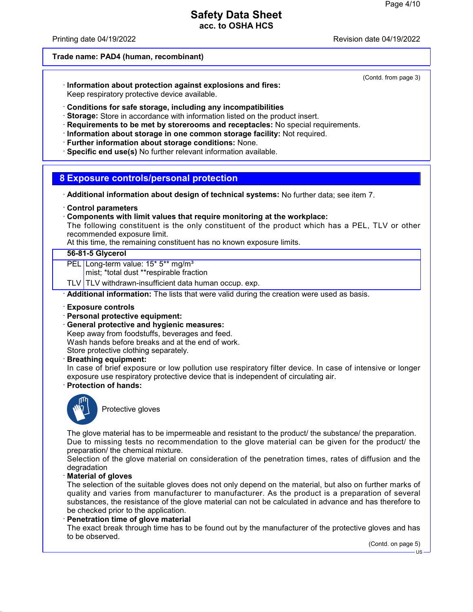Printing date 04/19/2022 Revision date 04/19/2022

(Contd. from page 3)

#### **Trade name: PAD4 (human, recombinant)**

· **Information about protection against explosions and fires:** Keep respiratory protective device available.

· **Conditions for safe storage, including any incompatibilities**

- · **Storage:** Store in accordance with information listed on the product insert.
- · **Requirements to be met by storerooms and receptacles:** No special requirements.
- · **Information about storage in one common storage facility:** Not required.
- · **Further information about storage conditions:** None.
- · **Specific end use(s)** No further relevant information available.

#### **8 Exposure controls/personal protection**

- · **Additional information about design of technical systems:** No further data; see item 7.
- · **Control parameters**
- · **Components with limit values that require monitoring at the workplace:**

The following constituent is the only constituent of the product which has a PEL, TLV or other recommended exposure limit.

At this time, the remaining constituent has no known exposure limits.

#### **56-81-5 Glycerol**

PEL Long-term value: 15\* 5\*\* mg/m<sup>3</sup>

mist; \*total dust \*\*respirable fraction

TLV TLV withdrawn-insufficient data human occup. exp.

· **Additional information:** The lists that were valid during the creation were used as basis.

- · **Exposure controls**
- · **Personal protective equipment:**
- · **General protective and hygienic measures:**

Keep away from foodstuffs, beverages and feed. Wash hands before breaks and at the end of work.

Store protective clothing separately.

· **Breathing equipment:**

In case of brief exposure or low pollution use respiratory filter device. In case of intensive or longer exposure use respiratory protective device that is independent of circulating air.

· **Protection of hands:**



Protective gloves

The glove material has to be impermeable and resistant to the product/ the substance/ the preparation. Due to missing tests no recommendation to the glove material can be given for the product/ the preparation/ the chemical mixture.

Selection of the glove material on consideration of the penetration times, rates of diffusion and the degradation

· **Material of gloves**

The selection of the suitable gloves does not only depend on the material, but also on further marks of quality and varies from manufacturer to manufacturer. As the product is a preparation of several substances, the resistance of the glove material can not be calculated in advance and has therefore to be checked prior to the application.

· **Penetration time of glove material**

The exact break through time has to be found out by the manufacturer of the protective gloves and has to be observed.

(Contd. on page 5)

US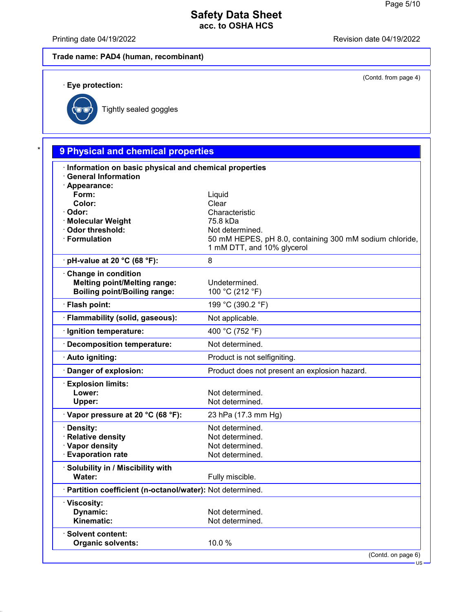Printing date 04/19/2022 **Printing date 04/19/2022** 

(Contd. from page 4)

US

# **Trade name: PAD4 (human, recombinant)**

· **Eye protection:**



Tightly sealed goggles

| Information on basic physical and chemical properties    |                                                         |
|----------------------------------------------------------|---------------------------------------------------------|
| <b>General Information</b>                               |                                                         |
| · Appearance:<br>Form:                                   | Liquid                                                  |
| Color:                                                   | Clear                                                   |
| · Odor:                                                  | Characteristic                                          |
| · Molecular Weight                                       | 75.8 kDa                                                |
| Odor threshold:                                          | Not determined.                                         |
| · Formulation                                            | 50 mM HEPES, pH 8.0, containing 300 mM sodium chloride, |
|                                                          | 1 mM DTT, and 10% glycerol                              |
| $\cdot$ pH-value at 20 °C (68 °F):                       | 8                                                       |
| Change in condition                                      |                                                         |
| <b>Melting point/Melting range:</b>                      | Undetermined.                                           |
| <b>Boiling point/Boiling range:</b>                      | 100 °C (212 °F)                                         |
| · Flash point:                                           | 199 °C (390.2 °F)                                       |
| · Flammability (solid, gaseous):                         | Not applicable.                                         |
| · Ignition temperature:                                  | 400 °C (752 °F)                                         |
| · Decomposition temperature:                             | Not determined.                                         |
| · Auto igniting:                                         | Product is not selfigniting.                            |
| · Danger of explosion:                                   | Product does not present an explosion hazard.           |
| <b>Explosion limits:</b>                                 |                                                         |
| Lower:                                                   | Not determined.                                         |
| Upper:                                                   | Not determined.                                         |
| Vapor pressure at 20 °C (68 °F):                         | 23 hPa (17.3 mm Hg)                                     |
| · Density:                                               | Not determined.                                         |
| · Relative density                                       | Not determined.                                         |
| · Vapor density                                          | Not determined.                                         |
| <b>Evaporation rate</b>                                  | Not determined.                                         |
| · Solubility in / Miscibility with                       |                                                         |
| Water:                                                   | Fully miscible.                                         |
| Partition coefficient (n-octanol/water): Not determined. |                                                         |
| · Viscosity:                                             |                                                         |
| Dynamic:                                                 | Not determined.                                         |
| Kinematic:                                               | Not determined.                                         |
| · Solvent content:                                       |                                                         |
| <b>Organic solvents:</b>                                 | 10.0%                                                   |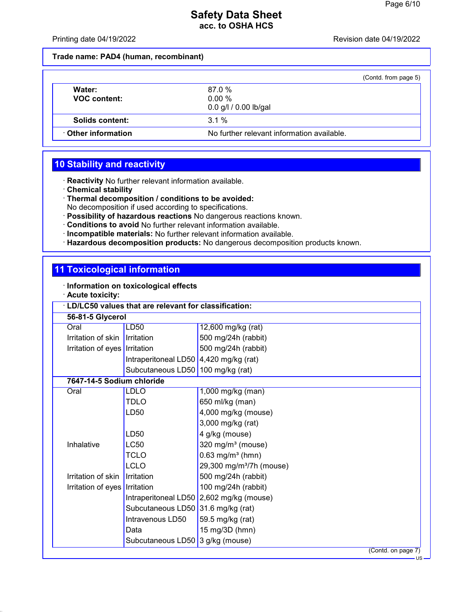Printing date 04/19/2022 **Revision date 04/19/2022** 

**Trade name: PAD4 (human, recombinant)**

|                               | (Contd. from page 5)                       |
|-------------------------------|--------------------------------------------|
| Water:<br><b>VOC content:</b> | 87.0 %<br>0.00%<br>0.0 g/l / 0.00 lb/gal   |
| Solids content:               | $3.1\%$                                    |
| Other information             | No further relevant information available. |

# **10 Stability and reactivity**

· **Reactivity** No further relevant information available.

- · **Chemical stability**
- · **Thermal decomposition / conditions to be avoided:**

No decomposition if used according to specifications.

- · **Possibility of hazardous reactions** No dangerous reactions known.
- · **Conditions to avoid** No further relevant information available.
- · **Incompatible materials:** No further relevant information available.
- · **Hazardous decomposition products:** No dangerous decomposition products known.

# **11 Toxicological information**

|  | Information on toxicological effects |  |  |  |  |
|--|--------------------------------------|--|--|--|--|
|--|--------------------------------------|--|--|--|--|

· **Acute toxicity:**

| LD/LC50 values that are relevant for classification: |                                        |                                          |  |
|------------------------------------------------------|----------------------------------------|------------------------------------------|--|
| 56-81-5 Glycerol                                     |                                        |                                          |  |
| Oral                                                 | LD50                                   | 12,600 mg/kg (rat)                       |  |
| Irritation of skin                                   | Irritation                             | 500 mg/24h (rabbit)                      |  |
| Irritation of eyes   Irritation                      |                                        | 500 mg/24h (rabbit)                      |  |
|                                                      | Intraperitoneal LD50 4,420 mg/kg (rat) |                                          |  |
|                                                      | Subcutaneous LD50   100 mg/kg (rat)    |                                          |  |
| 7647-14-5 Sodium chloride                            |                                        |                                          |  |
| Oral                                                 | <b>LDLO</b>                            | 1,000 mg/kg (man)                        |  |
|                                                      | <b>TDLO</b>                            | 650 ml/kg (man)                          |  |
|                                                      | LD50                                   | 4,000 mg/kg (mouse)                      |  |
|                                                      |                                        | 3,000 mg/kg (rat)                        |  |
|                                                      | LD50                                   | 4 g/kg (mouse)                           |  |
| Inhalative                                           | LC50                                   | 320 mg/m $3$ (mouse)                     |  |
|                                                      | <b>TCLO</b>                            | $0.63$ mg/m <sup>3</sup> (hmn)           |  |
|                                                      | LCLO                                   | 29,300 mg/m <sup>3</sup> /7h (mouse)     |  |
| Irritation of skin                                   | Irritation                             | 500 mg/24h (rabbit)                      |  |
| Irritation of eyes   Irritation                      |                                        | 100 mg/24h (rabbit)                      |  |
|                                                      |                                        | Intraperitoneal LD50 2,602 mg/kg (mouse) |  |
|                                                      | Subcutaneous LD50 31.6 mg/kg (rat)     |                                          |  |
|                                                      | Intravenous LD50                       | 59.5 mg/kg (rat)                         |  |
|                                                      | Data                                   | 15 mg/3D (hmn)                           |  |
|                                                      | Subcutaneous LD50                      | 3 g/kg (mouse)                           |  |
|                                                      |                                        | (Contd. on page 7)<br>– 119 –            |  |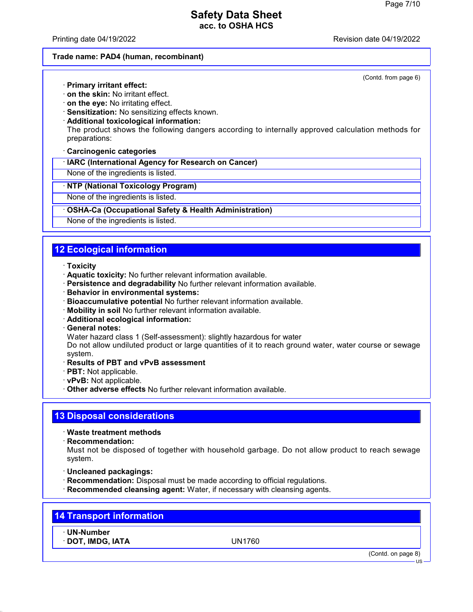Printing date 04/19/2022 Revision date 04/19/2022

(Contd. from page 6)

#### **Trade name: PAD4 (human, recombinant)**

· **Primary irritant effect:**

- · **on the skin:** No irritant effect.
- · **on the eye:** No irritating effect.
- · **Sensitization:** No sensitizing effects known.
- · **Additional toxicological information:**

The product shows the following dangers according to internally approved calculation methods for preparations:

· **Carcinogenic categories**

· **IARC (International Agency for Research on Cancer)**

None of the ingredients is listed.

· **NTP (National Toxicology Program)**

None of the ingredients is listed.

#### · **OSHA-Ca (Occupational Safety & Health Administration)**

None of the ingredients is listed.

# **12 Ecological information**

#### · **Toxicity**

- · **Aquatic toxicity:** No further relevant information available.
- · **Persistence and degradability** No further relevant information available.
- · **Behavior in environmental systems:**
- · **Bioaccumulative potential** No further relevant information available.
- · **Mobility in soil** No further relevant information available.
- · **Additional ecological information:**
- · **General notes:**

Water hazard class 1 (Self-assessment): slightly hazardous for water

Do not allow undiluted product or large quantities of it to reach ground water, water course or sewage system.

- · **Results of PBT and vPvB assessment**
- · **PBT:** Not applicable.
- · **vPvB:** Not applicable.
- · **Other adverse effects** No further relevant information available.

# **13 Disposal considerations**

### · **Waste treatment methods**

· **Recommendation:**

Must not be disposed of together with household garbage. Do not allow product to reach sewage system.

- · **Uncleaned packagings:**
- · **Recommendation:** Disposal must be made according to official regulations.
- · **Recommended cleansing agent:** Water, if necessary with cleansing agents.

| <b>14 Transport information</b> |  |
|---------------------------------|--|
|                                 |  |

· **UN-Number**

· **DOT, IMDG, IATA** UN1760

(Contd. on page 8)

US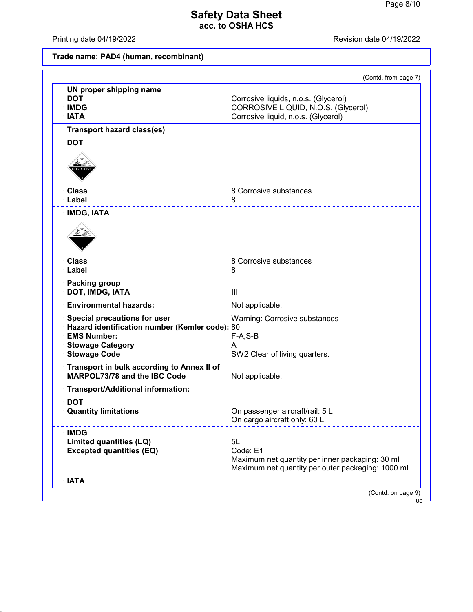Printing date 04/19/2022 **Revision date 04/19/2022** 

# **Trade name: PAD4 (human, recombinant)**

|                                                  | (Contd. from page 7)                              |
|--------------------------------------------------|---------------------------------------------------|
| · UN proper shipping name                        |                                                   |
| $\cdot$ DOT                                      | Corrosive liquids, n.o.s. (Glycerol)              |
| · IMDG                                           | CORROSIVE LIQUID, N.O.S. (Glycerol)               |
| $\cdot$ IATA                                     | Corrosive liquid, n.o.s. (Glycerol)               |
| · Transport hazard class(es)                     |                                                   |
| $\cdot$ DOT                                      |                                                   |
|                                                  |                                                   |
|                                                  |                                                   |
|                                                  |                                                   |
| · Class                                          | 8 Corrosive substances                            |
| · Label                                          | 8                                                 |
|                                                  |                                                   |
| · IMDG, IATA                                     |                                                   |
|                                                  |                                                   |
|                                                  |                                                   |
|                                                  |                                                   |
| · Class                                          | 8 Corrosive substances                            |
| · Label                                          | 8                                                 |
|                                                  |                                                   |
| · Packing group                                  |                                                   |
| DOT, IMDG, IATA                                  | $\mathbf{III}$                                    |
| <b>Environmental hazards:</b>                    | Not applicable.                                   |
| Special precautions for user                     | <b>Warning: Corrosive substances</b>              |
| · Hazard identification number (Kemler code): 80 |                                                   |
| · EMS Number:                                    | $F-A, S-B$                                        |
| <b>Stowage Category</b>                          | А                                                 |
| <b>Stowage Code</b>                              | SW2 Clear of living quarters.                     |
| · Transport in bulk according to Annex II of     |                                                   |
| MARPOL73/78 and the IBC Code                     | Not applicable.                                   |
| · Transport/Additional information:              |                                                   |
| $\cdot$ DOT                                      |                                                   |
| <b>Quantity limitations</b>                      | On passenger aircraft/rail: 5 L                   |
|                                                  | On cargo aircraft only: 60 L                      |
| $\cdot$ IMDG                                     |                                                   |
| · Limited quantities (LQ)                        | 5L                                                |
| <b>Excepted quantities (EQ)</b>                  | Code: E1                                          |
|                                                  | Maximum net quantity per inner packaging: 30 ml   |
|                                                  | Maximum net quantity per outer packaging: 1000 ml |
| $\cdot$ IATA                                     |                                                   |
|                                                  | (Contd. on page 9)                                |
|                                                  |                                                   |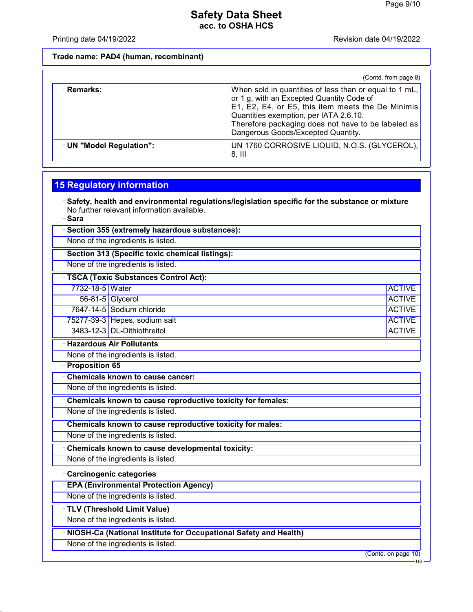Printing date 04/19/2022 **Revision date 04/19/2022** 

**Trade name: PAD4 (human, recombinant)**

|                          | (Contd. from page 8)                                                                                                                                                                                                                                                                           |
|--------------------------|------------------------------------------------------------------------------------------------------------------------------------------------------------------------------------------------------------------------------------------------------------------------------------------------|
| · Remarks:               | When sold in quantities of less than or equal to 1 mL,<br>or 1 g, with an Excepted Quantity Code of<br>E1, E2, E4, or E5, this item meets the De Minimis<br>Quantities exemption, per IATA 2.6.10.<br>Therefore packaging does not have to be labeled as<br>Dangerous Goods/Excepted Quantity. |
| · UN "Model Regulation": | UN 1760 CORROSIVE LIQUID, N.O.S. (GLYCEROL),<br>$8,$ III                                                                                                                                                                                                                                       |

# **15 Regulatory information**

· **Safety, health and environmental regulations/legislation specific for the substance or mixture** No further relevant information available.

· **Sara**

|                       | Section 355 (extremely hazardous substances):                    |                     |
|-----------------------|------------------------------------------------------------------|---------------------|
|                       | None of the ingredients is listed.                               |                     |
|                       | <b>Section 313 (Specific toxic chemical listings):</b>           |                     |
|                       | None of the ingredients is listed.                               |                     |
|                       | <b>TSCA (Toxic Substances Control Act):</b>                      |                     |
| 7732-18-5 Water       |                                                                  | <b>ACTIVE</b>       |
|                       | 56-81-5 Glycerol                                                 | <b>ACTIVE</b>       |
|                       | 7647-14-5 Sodium chloride                                        | <b>ACTIVE</b>       |
|                       | 75277-39-3 Hepes, sodium salt                                    | <b>ACTIVE</b>       |
|                       | 3483-12-3 DL-Dithiothreitol                                      | <b>ACTIVE</b>       |
|                       | <b>Hazardous Air Pollutants</b>                                  |                     |
|                       | None of the ingredients is listed.                               |                     |
| <b>Proposition 65</b> |                                                                  |                     |
|                       | <b>Chemicals known to cause cancer:</b>                          |                     |
|                       | None of the ingredients is listed.                               |                     |
|                       | Chemicals known to cause reproductive toxicity for females:      |                     |
|                       | None of the ingredients is listed.                               |                     |
|                       | Chemicals known to cause reproductive toxicity for males:        |                     |
|                       | None of the ingredients is listed.                               |                     |
|                       | <b>Chemicals known to cause developmental toxicity:</b>          |                     |
|                       | None of the ingredients is listed.                               |                     |
|                       | <b>Carcinogenic categories</b>                                   |                     |
|                       | <b>EPA (Environmental Protection Agency)</b>                     |                     |
|                       | None of the ingredients is listed.                               |                     |
|                       | <b>TLV (Threshold Limit Value)</b>                               |                     |
|                       | None of the ingredients is listed.                               |                     |
|                       | NIOSH-Ca (National Institute for Occupational Safety and Health) |                     |
|                       | None of the ingredients is listed.                               |                     |
|                       |                                                                  | (Contd. on page 10) |